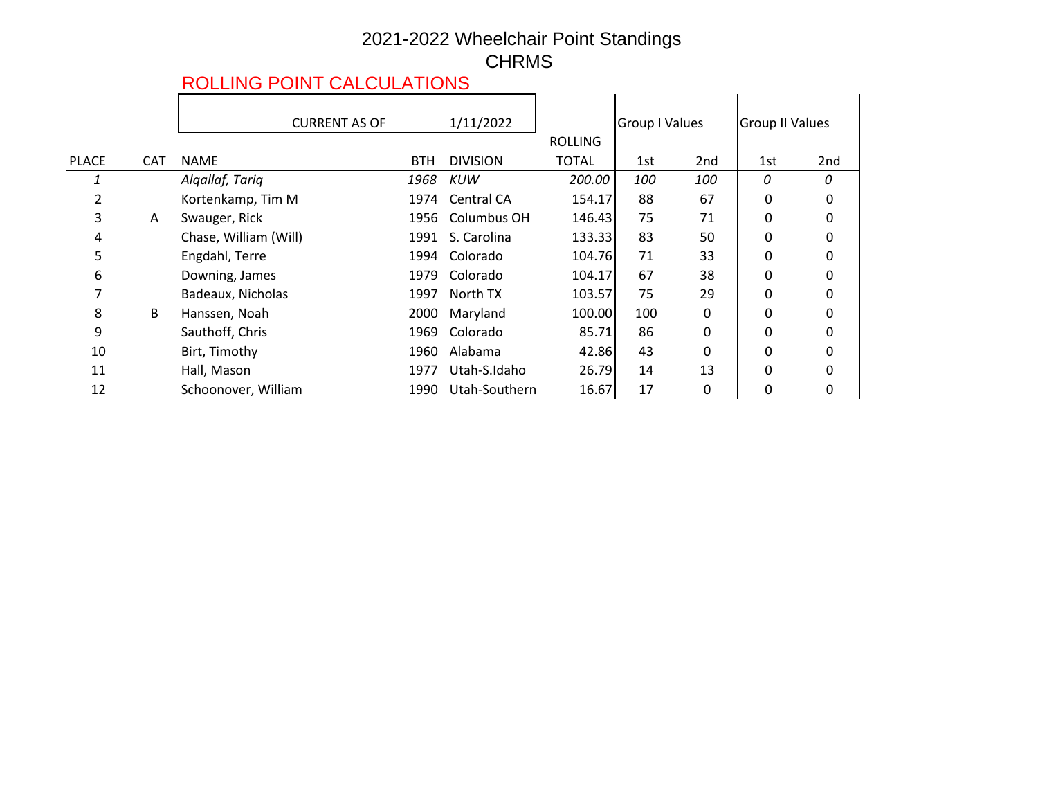## 2021-2022 Wheelchair Point Standings CHRMS

## ROLLING POINT CALCULATIONS

|              |            | <b>CURRENT AS OF</b>  | 1/11/2022  |                   |                | <b>Group I Values</b> |                 | <b>Group II Values</b> |     |
|--------------|------------|-----------------------|------------|-------------------|----------------|-----------------------|-----------------|------------------------|-----|
|              |            |                       |            |                   | <b>ROLLING</b> |                       |                 |                        |     |
| <b>PLACE</b> | <b>CAT</b> | <b>NAME</b>           | <b>BTH</b> | <b>DIVISION</b>   | TOTAL          | 1st                   | 2 <sub>nd</sub> | 1st                    | 2nd |
|              |            | Algallaf, Tariq       | 1968       | <b>KUW</b>        | 200.00         | 100                   | 100             | 0                      | 0   |
|              |            | Kortenkamp, Tim M     | 1974       | <b>Central CA</b> | 154.17         | 88                    | 67              | 0                      | 0   |
| 3            | A          | Swauger, Rick         | 1956       | Columbus OH       | 146.43         | 75                    | 71              | 0                      |     |
| 4            |            | Chase, William (Will) | 1991       | S. Carolina       | 133.33         | 83                    | 50              | 0                      |     |
| 5            |            | Engdahl, Terre        | 1994       | Colorado          | 104.76         | 71                    | 33              | 0                      |     |
| 6            |            | Downing, James        | 1979       | Colorado          | 104.17         | 67                    | 38              | 0                      |     |
|              |            | Badeaux, Nicholas     | 1997       | North TX          | 103.57         | 75                    | 29              | 0                      |     |
| 8            | B          | Hanssen, Noah         | 2000       | Maryland          | 100.00         | 100                   | 0               | 0                      | 0   |
| 9            |            | Sauthoff, Chris       | 1969       | Colorado          | 85.71          | 86                    | 0               | 0                      |     |
| 10           |            | Birt, Timothy         | 1960       | Alabama           | 42.86          | 43                    | 0               | 0                      |     |
| 11           |            | Hall, Mason           | 1977       | Utah-S.Idaho      | 26.79          | 14                    | 13              | 0                      |     |
| 12           |            | Schoonover, William   | 1990       | Utah-Southern     | 16.67          | 17                    | 0               | 0                      | 0   |